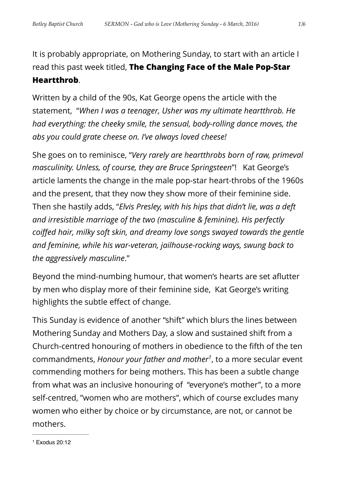It is probably appropriate, on Mothering Sunday, to start with an article I read this past week titled, **The Changing Face of the Male Pop-Star Heartthrob**.

Written by a child of the 90s, Kat George opens the article with the statement, "*When I was a teenager, Usher was my ultimate heartthrob. He had everything: the cheeky smile, the sensual, body-rolling dance moves, the abs you could grate cheese on. I've always loved cheese!*

She goes on to reminisce, "*Very rarely are heartthrobs born of raw, primeval masculinity. Unless, of course, they are Bruce Springsteen*"! Kat George's article laments the change in the male pop-star heart-throbs of the 1960s and the present, that they now they show more of their feminine side. Then she hastily adds, "*Elvis Presley, with his hips that didn't lie, was a deft and irresistible marriage of the two (masculine & feminine). His perfectly coiffed hair, milky soft skin, and dreamy love songs swayed towards the gentle and feminine, while his war-veteran, jailhouse-rocking ways, swung back to the aggressively masculine*."

Beyond the mind-numbing humour, that women's hearts are set aflutter by men who display more of their feminine side, Kat George's writing highlights the subtle effect of change.

<span id="page-0-1"></span>This Sunday is evidence of another "shift" which blurs the lines between Mothering Sunday and Mothers Day, a slow and sustained shift from a Church-centred honouring of mothers in obedience to the fifth of the ten commandments, *Honour your father and mother<sup>[1](#page-0-0)</sup>*, to a more secular event commending mothers for being mothers. This has been a subtle change from what was an inclusive honouring of "everyone's mother", to a more self-centred, "women who are mothers", which of course excludes many women who either by choice or by circumstance, are not, or cannot be mothers.

<span id="page-0-0"></span> $1$  Exodus 20:12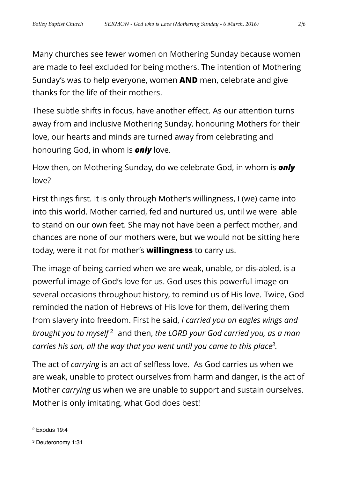Many churches see fewer women on Mothering Sunday because women are made to feel excluded for being mothers. The intention of Mothering Sunday's was to help everyone, women **AND** men, celebrate and give thanks for the life of their mothers.

These subtle shifts in focus, have another effect. As our attention turns away from and inclusive Mothering Sunday, honouring Mothers for their love, our hearts and minds are turned away from celebrating and honouring God, in whom is *only* love.

How then, on Mothering Sunday, do we celebrate God, in whom is *only* love?

First things first. It is only through Mother's willingness, I (we) came into into this world. Mother carried, fed and nurtured us, until we were able to stand on our own feet. She may not have been a perfect mother, and chances are none of our mothers were, but we would not be sitting here today, were it not for mother's **willingness** to carry us.

The image of being carried when we are weak, unable, or dis-abled, is a powerful image of God's love for us. God uses this powerful image on several occasions throughout history, to remind us of His love. Twice, God reminded the nation of Hebrews of His love for them, delivering them from slavery into freedom. First he said, *I carried you on eagles wings and brought you to myself*<sup>[2](#page-1-0)</sup> and then, *the LORD your God carried you, as a man carries his son, all the way that you went until you came to this place<sup>[3](#page-1-1)</sup>.* 

<span id="page-1-3"></span><span id="page-1-2"></span>The act of *carrying* is an act of selfless love. As God carries us when we are weak, unable to protect ourselves from harm and danger, is the act of Mother *carrying* us when we are unable to support and sustain ourselves. Mother is only imitating, what God does best!

<span id="page-1-0"></span> $2$  Exodus 19:4

<span id="page-1-1"></span><sup>&</sup>lt;sup>[3](#page-1-3)</sup> Deuteronomy 1:31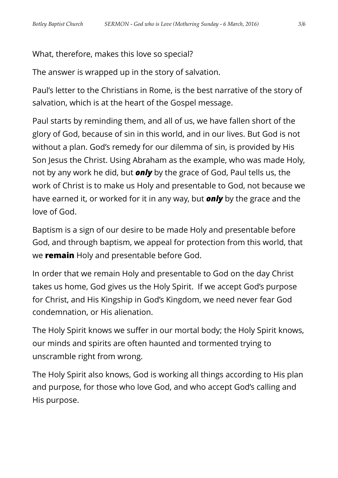What, therefore, makes this love so special?

The answer is wrapped up in the story of salvation.

Paul's letter to the Christians in Rome, is the best narrative of the story of salvation, which is at the heart of the Gospel message.

Paul starts by reminding them, and all of us, we have fallen short of the glory of God, because of sin in this world, and in our lives. But God is not without a plan. God's remedy for our dilemma of sin, is provided by His Son Jesus the Christ. Using Abraham as the example, who was made Holy, not by any work he did, but *only* by the grace of God, Paul tells us, the work of Christ is to make us Holy and presentable to God, not because we have earned it, or worked for it in any way, but *only* by the grace and the love of God.

Baptism is a sign of our desire to be made Holy and presentable before God, and through baptism, we appeal for protection from this world, that we **remain** Holy and presentable before God.

In order that we remain Holy and presentable to God on the day Christ takes us home, God gives us the Holy Spirit. If we accept God's purpose for Christ, and His Kingship in God's Kingdom, we need never fear God condemnation, or His alienation.

The Holy Spirit knows we suffer in our mortal body; the Holy Spirit knows, our minds and spirits are often haunted and tormented trying to unscramble right from wrong.

The Holy Spirit also knows, God is working all things according to His plan and purpose, for those who love God, and who accept God's calling and His purpose.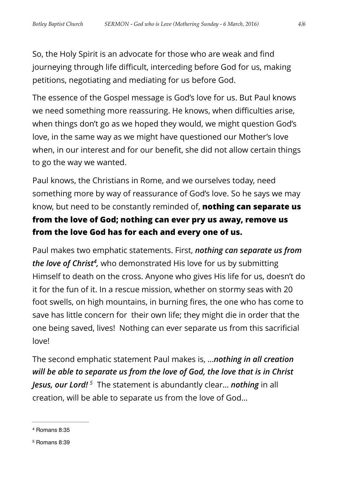So, the Holy Spirit is an advocate for those who are weak and find journeying through life difficult, interceding before God for us, making petitions, negotiating and mediating for us before God.

The essence of the Gospel message is God's love for us. But Paul knows we need something more reassuring. He knows, when difficulties arise, when things don't go as we hoped they would, we might question God's love, in the same way as we might have questioned our Mother's love when, in our interest and for our benefit, she did not allow certain things to go the way we wanted.

Paul knows, the Christians in Rome, and we ourselves today, need something more by way of reassurance of God's love. So he says we may know, but need to be constantly reminded of, **nothing can separate us from the love of God; nothing can ever pry us away, remove us from the love God has for each and every one of us.** 

<span id="page-3-2"></span>Paul makes two emphatic statements. First, *nothing can separate us from the love of Christ<sup>[4](#page-3-0)</sup>*, who demonstrated His love for us by submitting Himself to death on the cross. Anyone who gives His life for us, doesn't do it for the fun of it. In a rescue mission, whether on stormy seas with 20 foot swells, on high mountains, in burning fires, the one who has come to save has little concern for their own life; they might die in order that the one being saved, lives! Nothing can ever separate us from this sacrificial love!

<span id="page-3-3"></span>The second emphatic statement Paul makes is, …*nothing in all creation will be able to separate us from the love of God, the love that is in Christ Jesus, our Lord!*<sup>[5](#page-3-1)</sup> The statement is abundantly clear... *nothing* in all creation, will be able to separate us from the love of God…

<span id="page-3-1"></span><sup>[5](#page-3-3)</sup> Romans 8:39

<span id="page-3-0"></span><sup>&</sup>lt;sup>[4](#page-3-2)</sup> Romans 8:35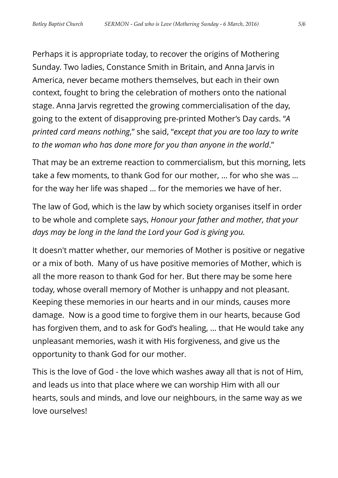Perhaps it is appropriate today, to recover the origins of Mothering Sunday. Two ladies, Constance Smith in Britain, and Anna Jarvis in America, never became mothers themselves, but each in their own context, fought to bring the celebration of mothers onto the national stage. Anna Jarvis regretted the growing commercialisation of the day, going to the extent of disapproving pre-printed Mother's Day cards. "*A printed card means nothing*," she said, "*except that you are too lazy to write to the woman who has done more for you than anyone in the world*."

That may be an extreme reaction to commercialism, but this morning, lets take a few moments, to thank God for our mother, … for who she was … for the way her life was shaped … for the memories we have of her.

The law of God, which is the law by which society organises itself in order to be whole and complete says, *Honour your father and mother, that your days may be long in the land the Lord your God is giving you.* 

It doesn't matter whether, our memories of Mother is positive or negative or a mix of both. Many of us have positive memories of Mother, which is all the more reason to thank God for her. But there may be some here today, whose overall memory of Mother is unhappy and not pleasant. Keeping these memories in our hearts and in our minds, causes more damage. Now is a good time to forgive them in our hearts, because God has forgiven them, and to ask for God's healing, … that He would take any unpleasant memories, wash it with His forgiveness, and give us the opportunity to thank God for our mother.

This is the love of God - the love which washes away all that is not of Him, and leads us into that place where we can worship Him with all our hearts, souls and minds, and love our neighbours, in the same way as we love ourselves!